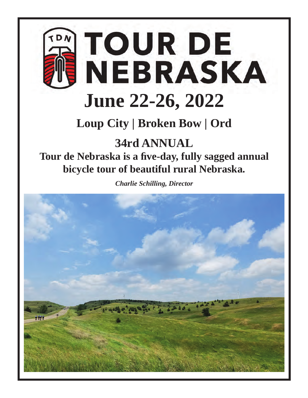

**Loup City | Broken Bow | Ord**

# **34rd ANNUAL Tour de Nebraska is a fi ve-day, fully sagged annual bicycle tour of beautiful rural Nebraska.**

*Charlie Schilling, Director*

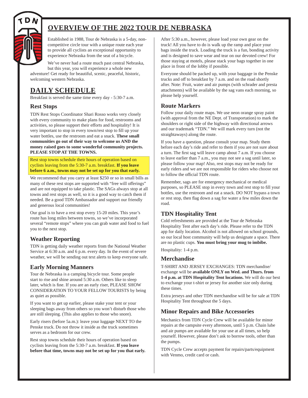

# **OVERVIEW OF THE 2022 TOUR DE NEBRASKA**

Established in 1988, Tour de Nebraska is a 5-day, noncompetitive circle tour with a unique route each year to provide all cyclists an exceptional opportunity to experience Nebraska from the seat of a bicycle.

We've never had a route much past central Nebraska, but this year, you will experience a whole new

adventure! Get ready for beautiful, scenic, peaceful, historic, welcoming western Nebraska.

# **DAILY SCHEDULE**

Breakfast is served the same time every day - 5:30-7 a.m.

# **Rest Stops**

TDN Rest Stops Coordinator Shari Rosso works very closely with every community to make plans for food, restrooms and activities, so please support their efforts and hospitality! It is very important to stop in every town/rest stop to fill up your water bottles, use the restroom and eat a snack. **These small communities go out of their way to welcome us AND the money raised goes to some wonderful community projects. PLEASE STOP AT THE TOWNS.**

Rest stop towns schedule their hours of operation based on cyclists leaving from the 5:30-7 a.m. breakfast. **If you leave before 6 a.m., towns may not be set up for you that early.**

We recommend that you carry at least \$250 or so in small bills as many of these rest stops are supported with "free will offerings" and are not equipped to take plastic. The SAGs always stop at all towns and rest stops as well, so it is a good way to catch them if needed. Be a good TDN Ambassador and support our friendly and generous local communities!

Our goal is to have a rest stop every 15-20 miles. This year's route has long miles between towns, so we've incorporated several "remote stops" where you can grab water and food to fuel you to the next stop.

# **Weather Reporting**

TDN is getting daily weather reports from the National Weather Service at 6:30 a.m. and 6 p.m. every day. In the event of severe weather, we will be sending out text alerts to keep everyone safe.

# **Early Morning Manners**

Tour de Nebraska is a camping bicycle tour. Some people start to rise and shine around 5:30 a.m. Others like to sleep later, which is fine. If you are an early riser, PLEASE SHOW CONSIDERATION TO YOUR FELLOW TOURISTS by being as quiet as possible.

If you want to get up earlier, please stake your tent or your sleeping bags away from others so you won't disturb those who are still sleeping. (This also applies to those who snore).

Early risers (before 5a.m.): leave your luggage NEXT TO the Penske truck. Do not throw it inside as the truck sometimes serves as a bedroom for our crew.

Rest stop towns schedule their hours of operation based on cyclists leaving from the 5:30-7 a.m. breakfast. **If you leave before that time, towns may not be set up for you that early.** After 5:30 a.m., however, please load your own gear on the truck! All you have to do is walk up the ramp and place your bags inside the truck. Loading the truck is a fun, bonding activity and is designed to save wear and tear on our devoted crew! For those staying at motels, please stack your bags together in one place in front of the lobby if possible.

Everyone should be packed up, with your baggage in the Penske trucks and off to breakfast by 7 a.m. and on the road shortly after. Note: Fruit, water and air pumps (with schrader and presta attachments) will be available by the sag vans each morning, so please help yourself.

# **Route Markers**

Follow your daily route maps. We use neon orange spray paint (with approval from the NE Dept. of Transportation) to mark the shoulders or right side of the highway with directional arrows and our trademark "TDN." We will mark every turn (not the straightaways) along the route.

If you have a question, please consult your map. Study them before each day's ride and refer to them if you are not sure about a turn. The first sag will leave camp about 7 a.m. If you choose to leave earlier than 7 a.m., you may not see a sag until later, so please follow your map! Also, rest stops may not be ready for early riders and we are not responsible for riders who choose not to follow the official TDN route.

Remember, sags are for emergency mechanical or medical purposes, so PLEASE stop in every town and rest stop to fill your bottles, use the restroom and eat a snack. DO NOT bypass a town or rest stop, then flag down a sag for water a few miles down the road.

# **TDN Hospitality Tent**

Cold refreshments are provided at the Tour de Nebraska Hospitality Tent after each day's ride. Please refer to the TDN app for daily location. Alcohol is not allowed on school grounds, so our local host community will help us designate a space. There are no plastic cups. **You must bring your mug to imbibe.**

Hospitality: 1-4 p.m.

# **Merchandise**

T-SHIRT AND JERSEY EXCHANGES: TDN merchandise/ exchange will be **available ONLY on Wed. and Thurs. from 1-4 p.m. at TDN Hospitality Tent locations.** We will do our best to exchange your t-shirt or jersey for another size only during these times.

Extra jerseys and other TDN merchandise will be for sale at TDN Hospitality Tent throughout the 5 days.

# **Minor Repairs and Bike Accessories**

Mechanics from TDN Cycle Crew will be available for minor repairs at the campsite every afternoon, until 5 p.m. Chain lube and air pumps are available for your use at all times, so help yourself. However, please don't ask to borrow tools, other than the pumps.

TDN Cycle Crew accepts payment for repairs/parts/equipment with Venmo, credit card or cash.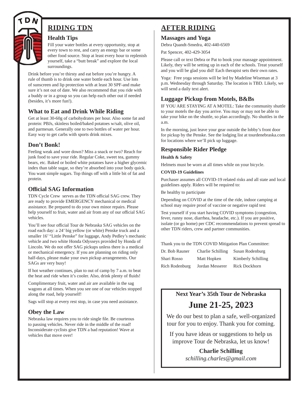

# **RIDING TDN**

# **Health Tips**

Fill your water bottles at every opportunity, stop at every town to rest, and carry an energy bar or some other food source. Stop at least every hour to replenish yourself, take a "butt break" and explore the local surroundings.

Drink before you're thirsty and eat before you're hungry. A rule of thumb is to drink one water bottle each hour. Use lots of sunscreen and lip protection with at least 30 SPF-and make sure it's not out of date. We also recommend that you ride with a buddy or in a group so you can help each other out if needed (besides, it's more fun!).

# **What to Eat and Drink While Riding**

Get at least 30-60g of carbohydrates per hour. Also some fat and protein: PBJs, skinless boiled/baked potatoes w/salt, olive oil, and parmesan. Generally one to two bottles of water per hour. Easy way to get carbs with sports drink mixes.

# **Don't Bonk!**

Feeling weak and wore down? Miss a snack or two? Reach for junk food to save your ride. Regular Coke, sweet tea, gummy bears, etc. Baked or boiled white potatoes have a higher glycemic index than table sugar, so they're absorbed into your body quick. You want simple sugars. Top things off with a little bit of fat and protein.

# **Offi cial SAG Information**

TDN Cycle Crew serves as the TDN official SAG crew. They are ready to provide EMERGENCY mechanical or medical assistance. Be prepared to do your own minor repairs. Please help yourself to fruit, water and air from any of our official SAG vehicles.

You'll see four official Tour de Nebraska SAG vehicles on the road each day: a 24' big yellow (or white) Penske truck and a smaller 16' "Little Penske" for luggage, Andy Pedley's mechanic vehicle and two white Honda Odysseys provided by Honda of Lincoln. We do not offer SAG pickups unless there is a medical or mechanical emergency. If you are planning on riding only half-days, please make your own pickup arrangements. Our SAGs are very busy!

If hot weather continues, plan to out of camp by 7 a.m. to beat the heat and ride when it's cooler. Also, drink plenty of fluids!

Complimentary fruit, water and air are available in the sag wagons at all times. When you see one of our vehicles stopped along the road, help yourself!

Sags will stop at every rest stop, in case you need assistance.

# **Obey the Law**

Nebraska law requires you to ride single file. Be courteous to passing vehicles. Never ride in the middle of the road! Inconsiderate cyclists give TDN a bad reputation! Wave at vehicles that move over!

# **AFTER RIDING**

# **Massages and Yoga**

Debra Quandt-Smedra, 402-440-6569

Pat Spencer, 402-429-3054

Please call or text Debra or Pat to book your massage appointment. Likely, they will be setting up in each of the schools. Treat yourself and you will be glad you did! Each therapist sets their own rates.

Yoga: Free yoga sessions will be led by Madeline Wiseman at 3 p.m. Wednesday through Saturday. The location is TBD. Likely, we will send a daily text alert.

# **Luggage Pickup from Motels, B&Bs**

IF YOU ARE STAYING AT A MOTEL: Take the community shuttle to your motels the day you arrive. You may or may not be able to take your bike on the shuttle, so plan accordingly. No shuttles in the a.m.

In the morning, just leave your gear outside the lobby's front door for pickup by the Penske. See the lodging list at tourdenebraska.com for locations where we'll pick up luggage.

# **Responsible Rider Pledge**

#### **Health & Safety**

Helmets must be worn at all times while on your bicycle.

#### **COVID-19 Guidelines**

Purchaser assumes all COVID-19 related risks and all state and local guidelines apply. Riders will be required to:

Be healthy to participate

Depending on COVID at the time of the ride, indoor camping at school may require proof of vaccine or negative rapid test

Test yourself if you start having COVID symptoms (congestion, fever, runny nose, diarrhea, headache, etc.). If you are positive, isolate (or go home) per CDC recommendations to prevent spread to other TDN riders, crew and partner communities.

Thank you to the TDN COVID Mitigation Plan Committee:

| Dr. Bob Rauner | Charlie Schilling | Susan Rodenburg      |
|----------------|-------------------|----------------------|
| Shari Rosso    | Matt Hopken       | Kimberly Schilling   |
| Rich Rodenburg | Jordan Messerer   | <b>Rick Dockhorn</b> |

# **Next Year's 35th Tour de Nebraska June 21-25, 2023**

We do our best to plan a safe, well-organized tour for you to enjoy. Thank you for coming.

If you have ideas or suggestions to help us improve Tour de Nebraska, let us know!

> **Charlie Schilling** *schilling.charles@gmail.com*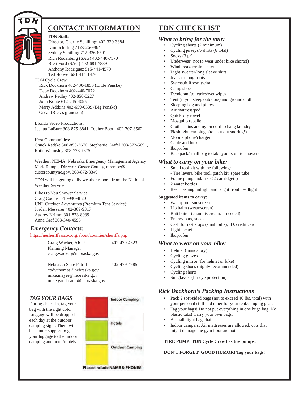

# **CONTACT INFORMATION**

#### **TDN Staff :**

Director, Charlie Schilling: 402-320-3384 Kim Schilling 712-326-9964 Sydney Schilling 712-326-8591 Rich Rodenburg (SAG) 402-440-7570 Brett Ford (SAG) 402-681-7889 Anthony Rodriguez 515-441-4570 Ted Hoover 651-414-1476

#### TDN Cycle Crew:

Rick Dockhorn 402-430-1850 (Little Penske) Debe Dockhorn 402-440-7072 Andrew Pedley 402-850-5227 John Kohte 612-245-4095 Marty Adtkins 402-659-0589 (Big Penske) Oscar (Rick's grandson)

Blondo Video Productions: Joshua LaBure 303-875-3841, Topher Booth 402-707-3562

Host Communities: Chuck Radtke 308-850-3676, Stephanie Grafel 308-872-5691, Katie Walmsley 308-728-7875

Weather: NEMA, Nebraska Emergency Management Agency Mark Rempe, Director, Custer County, mrempe@ custercountyne.gov, 308-872-3349

TDN will be getting daily weather reports from the National Weather Service.

Bikes to You Shower Service Craig Cooper 641-990-4820 UNL Outdoor Adventures (Premium Tent Service): Jordan Messerer 402-309-9317 Audrey Krimm 301-873-8039 Anna Graf 308-340-4596

# *Emergency Contacts:*

#### https://nesheriffsassoc.org/about/counties/sheriffs.php

Craig Wacker, AICP 402-479-4623 Planning Manager craig.wacker@nebraska.gov

Nebraska State Patrol 402-479-4985 cody.thomas@nebraska.gov mike.meyer@nebraska.gov mike.gaudreault@nebraska.gov

#### *TAG YOUR BAGS*

During check-in, tag your bag with the right color. Luggage will be dropped each day at the outdoor camping sight. There will be shuttle support to get your luggage to the indoor camping and hotel/motels.



# **TDN CHECKLIST**

#### *What to bring for the tour:*

- Cycling shorts (2 minimum)
- Cycling jerseys/t-shirts (6 total)
- Socks (3 pr)
- Underwear (not to wear under bike shorts!)
- Windbreaker/rain jacket
- Light sweater/long sleeve shirt
- Jeans or long pants
- Swimsuit if you swim
- Camp shoes
- Deodorant/toiletries/wet wipes
- Tent (if you sleep outdoors) and ground cloth
- Sleeping bag and pillow
- Air mattress/pad
- Quick-dry towel
- Mosquito repellent
- Clothes pins and nylon cord to hang laundry
- Flashlight, ear plugs (to shut out snoring!)
- Mobile phone/charger
- Cable and lock
- Ibuprofen
- Backpack/small bag to take your stuff to showers

#### *What to carry on your bike:*

- Small tool kit with the following:
- Tire levers, bike tool, patch kit, spare tube
- Frame pump and/or CO2 cartridge(s)
- 2 water bottles
- Rear flashing taillight and bright front headlight

#### **Suggested items to carry:**

- Waterproof sunscreen
- Lip balm (w/sunscreen)
- Butt butter (chamois cream, if needed)
- Energy bars, snacks
- Cash for rest stops (small bills), ID, credit card
- Light jacket
- Ibuprofen

#### *What to wear on your bike:*

- Helmet (mandatory)
- Cycling gloves
- Cycling mirror (for helmet or bike)
- Cycling shoes (highly recommended)
- Cycling shorts
- Sunglasses (for eye protection)

# *Rick Dockhorn's Packing Instructions*

- Pack 2 soft-sided bags (not to exceed 40 lbs. total) with your personal stuff and other for your tent/camping gear.
- Tag your bags! Do not put everything in one huge bag. No plastic tubs! Carry your own bags.
- A small, light bag chair.
- Indoor campers: Air mattresses are allowed; cots that might damage the gym floor are not.

# **TIRE PUMP: TDN Cycle Crew has tire pumps.**

**DON'T FORGET: GOOD HUMOR! Tag your bags!**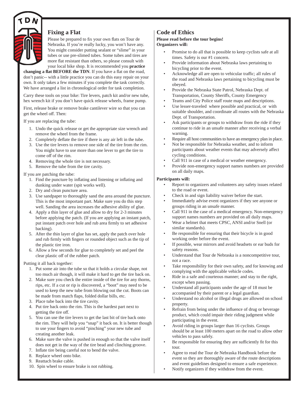

# **Fixing a Flat**

Please be prepared to fix your own flats on Tour de Nebraska. If you're really lucky, you won't have any. You might consider putting sealant or "slime" in your tubes or use pre-slimed tubes. Some tubes and tires are more flat resistant than others, so please consult with your local bike shop. It is recommended you **practice** 

**changing a flat BEFORE the TDN.** If you have a flat on the road, don't panic-- with a little practice you can do this easy repair on your own. It only takes a few minutes if you complete the task correctly. We have arranged a list in chronological order for task completion.

Carry these tools on your bike: Tire levers, patch kit and/or new tube, hex wrench kit if you don't have quick release wheels, frame pump.

First, release brake or remove brake cantilever wire so that you can get the wheel off. Then:

If you are replacing the tube:

- 1. Undo the quick release or get the appropriate size wrench and remove the wheel from the frame.
- 2. Completely deflate the tire if there is any air left in the tube.
- 3. Use the tire levers to remove one side of the tire from the rim. You might have to use more than one lever to get the tire to come off of the rim.
- 4. Removing the whole tire is not necessary.
- 5. Remove the tube from the tire cavity.

#### If you are patching the tube:

- 1. Find the puncture by inflating and listening or inflating and dunking under water (spit works well).
- 2. Dry and clean puncture area.
- 3. Use sandpaper to thoroughly sand the area around the puncture. This is the most important part. Make sure you do this step well. Sanding the area increases the adhesive ability of glue.
- 4. Apply a thin layer of glue and allow to dry for 2-3 minutes before applying the patch. (If you are applying an instant patch, put instant patch over hole and rub area firmly to set adhesive backing).
- 5. After the thin layer of glue has set, apply the patch over hole and rub firmly with fingers or rounded object such as the tip of the plastic tire iron.
- 6. Allow a few seconds for glue to completely set and peel the clear plastic off of the rubber patch.

Putting it all back together:

- 1. Put some air into the tube so that it holds a circular shape, not too much air though, it will make it hard to get the tire back on.
- 2. Make sure you check the entire inside of the tire for any thorns, rips, etc. If a cut or rip is discovered, a "boot" may need to be used to keep the new tube from blowing out the cut. Boots can be made from match flaps, folded dollar bills, etc.
- 3. Place tube back into the tire cavity.
- 4. Put tire back onto the rim. This is the hardest part next to getting the tire off.
- 5. You can use the tire levers to get the last bit of tire back onto the rim. They will help you "snap" it back on. It is better though to use your fingers to avoid "pinching" your new tube and creating another leak.
- 6. Make sure the valve is pushed in enough so that the valve itself does not get in the way of the tire bead and clinching groove.
- 7. Inflate tire being careful not to bend the valve.
- 8. Replace wheel onto bike.
- 9. Reattach brake cable.
- 10. Spin wheel to ensure brake is not rubbing.

# **Code of Ethics**

#### **Please read before the tour begins! Organizers will:**

- Promise to do all that is possible to keep cyclists safe at all times. Safety is our #1 concern.
- Provide information about Nebraska laws pertaining to bicycling prior to the event.
- Acknowledge all are open to vehicular traffic; all rules of the road and Nebraska laws pertaining to bicycling must be obeyed.
- Provide the Nebraska State Patrol, Nebraska Dept. of Transportation, County Sheriffs, County Emergency
- Teams and City Police staff route maps and descriptions.
- Use lesser-traveled where possible and practical, or with suitable shoulder, and coordinate all routes with the Nebraska Dept. of Transportation.
- Ask participants or groups to withdraw from the ride if they continue to ride in an unsafe manner after receiving a verbal warning.
- Require all host communities to have an emergency plan in place.
- Not be responsible for Nebraska weather, and to inform participants about weather events that may adversely affect cycling conditions.
- Call 911 in case of a medical or weather emergency.
- Provide non-emergency support names numbers are provided on all daily maps.

#### **Participants will:**

- Report to organizers and volunteers any safety issues related to the road or event.
- Check in and sign liability waiver before the start.
- Immediately advise event organizers if they see anyone or groups riding in an unsafe manner.
- Call 911 in the case of a medical emergency. Non-emergency support names numbers are provided on all daily maps.
- Wear a helmet that meets CPSC, ANSI and/or Snell (or similar standards).
- Be responsible for ensuring that their bicycle is in good working order before the event.
- If possible, wear mirrors and avoid headsets or ear buds for safety reasons.
- Understand that Tour de Nebraska is a noncompetitive tour, not a race.
- Take responsibility for their own safety, and for knowing and complying with the applicable vehicle codes.
- Ride in a safe and courteous manner; and stay to the right, except when passing.
- Understand all participants under the age of 18 must be accompanied by their parent or a legal guardian.
- Understand no alcohol or illegal drugs are allowed on school property.
- Refrain from being under the influence of drug or beverage product, which could impair their riding judgment while participating in the event.
- Avoid riding in groups larger than 16 cyclists. Groups should be at least 100 meters apart on the road to allow other vehicles to pass safely.
- Be responsible for ensuring they are sufficiently fit for this tour.
- Agree to read the Tour de Nebraska Handbook before the event so they are thoroughly aware of the route descriptions and event guidelines designed to ensure a safe experience.
- Notify organizers if they withdraw from the event.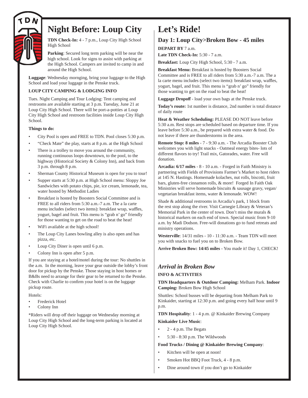

# **Night Before: Loup City**

**TDN Check-In:** 4 - 7 p.m., Loup City High School High School

**Parking**: Secured long term parking will be near the high school. Look for signs to assist with parking at the High School. Campers are invited to camp in and around the High School.

**Luggage**: Wednesday mornging, bring your luggage to the High School and load your luggage in the Penske truck.

#### **LOUP CITY CAMPING & LODGING INFO**

Tues. Night Camping and Tour Lodging: Tent camping and restrooms are available starting at 3 p.m. Tuesday, June 21 at Loup City High School. There will be port-a-potties at Loup City High School and restroom facilities inside Loup City High School.

#### **Things to do:**

- City Pool is open and FREE to TDN. Pool closes 5:30 p.m.
- "Check Mate" the play, starts at 8 p.m. at the High School
- There is a trolley to move you around the community, running continuous loops downtown, to the pool, to the highway (Historical Society & Colony Inn), and back from 3 p.m. through 8 p.m.
- Sherman County Historical Museum is open for you to tour!
- Supper starts at 5:30 p.m. at High School menu: Sloppy Joe Sandwiches with potato chips, pie, ice cream, lemonade, tea, water hosted by Methodist Ladies
- Breakfast is hosted by Boosters Social Committee and is FREE to all riders from 5:30 a.m.-7 a.m. The a la carte menu includes (select two items): breakfast wrap, waffles, yogurt, bagel and fruit. This menu is "grab n' go" friendly for those wanting to get on the road to beat the heat!
- WiFi available at the high school!
- The Loup City Lanes bowling alley is also open and has pizza, etc.
- Loup City Diner is open until 6 p.m.
- Colony Inn is open after 5 p.m.

If you are staying at a hotel/motel during the tour: No shuttles in the a.m. In the morning, leave your gear outside the lobby's front door for pickup by the Penske. Those staying in host homes or B&Bs need to arrange for their gear to be returned to the Penske. Check with Charlie to confirm your hotel is on the luggage pickup route.

Hotels:

- Frederick Hotel
- Colony Inn

\*Riders will drop off their luggage on Wednesday morning at Loup City High School and the long-term parking is located at Loup City High School.

# **Let's Ride!**

# **Day 1: Loup City>Broken Bow - 45 miles**

**DEPART BY** 7 a.m.

**Late TDN Check-In:** 5:30 - 7 a.m.

**Breakfast:** Loup City High School, 5:30 - 7 a.m.

**Breakfast Menu:** Breakfast is hosted by Boosters Social Committee and is FREE to all riders from 5:30 a.m.-7 a.m. The a la carte menu includes (select two items): breakfast wrap, waffles, yogurt, bagel, and fruit. This menu is "grab n' go" friendly for those wanting to get on the road to beat the heat!

**Luggage Dropoff** - load your own bags at the Penske truck.

**Today's route:** 1st number is distance, 2nd number is total distance of daily route

**Heat & Weather Scheduling:** PLEASE DO NOT leave before 5:30 a.m. Rest stops are scheduled based on departure time. If you leave before 5:30 a.m., be prepared with extra water & food. Do not leave if there are thunderstorms in the area.

**Remote Stop: 8 miles** - 7 - 9:30 a.m. - The Arcadia Booster Club welcomes you with light snacks - Oatmeal energy bites- lots of different flavors to try! Trail mix, Gatorades, water. Free will donation.

**Arcadia: 6/17 miles** - 8 - 10 a.m. - Forged in Faith Ministry is partnering with Fields of Provisions Farmer's Market to host riders at 145 N. Hastings. Homemade kolaches, nut rolls, biscotti, fruit bars, gluten-free cinnamon rolls, & more! Forged In Faith Oak Ministries will serve homemade biscuits & sausage gravy, vegan/ vegetarian breakfast items, water & lemonade. WOW!

Shade & additional restrooms in Arcadia's park, 1 block from the rest stop along the river. Visit Carnegie Library & Veteran's Memorial Park in the center of town. Don't miss the murals & historical markers on each end of town. Special music from 9-10 a.m. by Madi Dodson. Free-will donations go to fund retreats and ministry operations.

**Westerville**: 14/31 miles - 10 - 11:30 a.m. - Team TDN will meet you with snacks to fuel you on to Broken Bow.

**Arrive Broken Bow: 14/45 miles** - You made it! Day 1, CHECK!

# *Arrival in Broken Bow*

#### **INFO & ACTIVITIES**

**TDN Headquarters & Outdoor Camping:** Melham Park. **Indoor Camping:** Broken Bow High School

Shuttles: School busses will be departing from Melham Park to Kinkaider, starting at 12:30 p.m. and going every half hour until 9 p.m.

**TDN Hospitality**: 1 - 4 p.m. @ Kinkaider Brewing Company **Kinkaider Live Music**:

- 2 4 p.m. The Begats
- 5:30 8:30 p.m. The Wildwoods

#### **Food Trucks / Dining @ Kinkaider Brewing Company**:

- Kitchen will be open at noon!
- Smoken Hot BBQ Foot Truck, 4 8 p.m.
- Dine around town if you don't go to Kinkaider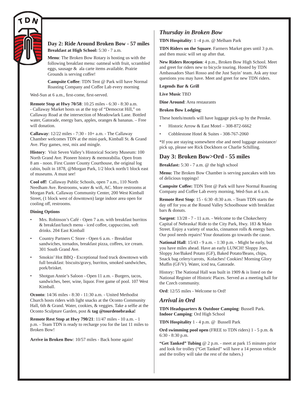

## **Day 2: Ride Around Broken Bow - 57 miles Breakfast at High School:** 5:30 - 7 a.m.

**Menu**: The Broken Bow Rotary is hosting us with the following breakfast menu: oatmeal with fruit, scrambled eggs, sausage & ala carte items available. Prairie Grounds is serving coffee!

**Campsite Coffee: TDN Tent @ Park will have Normal** Roasting Company and Coffee Lab every morning

Wed-Sun at 6 a.m., first-come, first-served.

**Remote Stop at Hwy 70/58**: 10.25 miles - 6:30 - 8:30 a.m. - Callaway Market hosts us at the top of "Democrat Hill," on Callaway Road at the intersection of Meadowlark Lane. Bottled water, Gatorade, energy bars, apples, oranges & bananas. – Free will donation.

**Callaway**: 12/22 miles - 7:30 - 10+ a.m. - The Callaway Chamber welcomes TDN at the mini-park, Kimball St. & Grand Ave. Play games, rest, mix and mingle.

**History**: Visit Seven Valley's Historical Society Museum: 100 North Grand Ave. Pioneer history & memorabilia. Open from 8 am - noon. First Custer County Courthouse, the original log cabin, built in 1878, @Morgan Park, 1/2 block north/1 block east of museums. A must see!

**Cool off !** Callaway Public Schools, open 7 a.m., 110 North Needham Ave. Restrooms, water & wifi, AC. More restrooms at Morgan Park. Callaway Community Center, 200 West Kimball Street, (1 block west of downtown) large indoor area open for cooling off, restrooms.

#### **Dining Options**

- Mrs. Robinson's Café Open 7 a.m. with breakfast burritos  $&$  breakfast/lunch menu - iced coffee, cappuccino, soft drinks. 204 East Kimball
- Country Partners C Store Open 6 a.m. Breakfast sandwiches, tornados, breakfast pizza, coffees, ice cream. 301 South Grand Ave.
- Smokin' Hot BBQ Exceptional food truck downtown with full breakfast: biscuits/gravy, burritos, smoked sandwiches, pork/brisket.
- Shotgun Annie's Saloon Open 11 a.m. Burgers, tacos, sandwiches, beer, wine, liquor. Free game of pool. 107 West Kimball.

**Oconto**: 14/36 miles - 8:30 - 11:30 a.m. - United Methodist Church hosts riders with light snacks at the Oconto Community Hall, 6th & Grand. Water, cookies, & veggies. Take a selfie at the Oconto Sculpture Garden, post & **tag @tourdenebraska!**

**Remote Rest Stop at Hwy 790/21**: 11/47 miles - 10 a.m. - 1 p.m. - Team TDN is ready to recharge you for the last 11 miles to Broken Bow!

**Arrive in Broken Bow**: 10/57 miles - Back home again!

# *Thursday in Broken Bow*

**TDN Hospitality**: 1 -4 p.m. @ Melham Park

**TDN Riders on the Square**. Farmers Market goes until 3 p.m. and then music will set up after that.

**New Riders Reception**: 4 p.m., Broken Bow High School. Meet and greet for riders new to bicycle touring. Hosted by TDN Ambassadors Shari Rosso and the Just Sayin' team. Ask any tour questions you may have. Meet and greet for new TDN riders.

**Legends Bar & Grill**

**Live Music** TBD

**Dine Around**: Area restaurants

**Broken Bow Lodging**:

These hotels/motels will have luggage pick-up by the Penske.

- Historic Arrow & East Motel 308-872-6662
- Cobblestone Hotel & Suites 308-767-2060

\*If you are staying somewhere else and need luggage assistance/ pick up, please see Rick Dockhorn or Charlie Schilling.

# **Day 3: Broken Bow>Ord - 55 miles**

**Breakfast:** 5:30 - 7 a.m. @ the high school

**Menu:** The Broken Bow Chamber is serving pancakes with lots of delicious toppings!

**Campsite Coffee: TDN Tent @ Park will have Normal Roasting** Company and Coffee Lab every morning, Wed-Sun at 6 a.m.

**Remote Rest Stop**: 15 - 6:30 -8:30 a.m. - Team TDN starts the day off for you at the Round Valley Schoolhouse with breakfast bars & donuts.

**Sargent**: 13/28 - 7 - 11 a.m. - Welcome to the Chokecherry Capital of Nebraska! Ride to the City Park, Hwy. 183 & Main Street. Enjoy a variety of snacks, cinnamon rolls & energy bars. Our pool needs repairs! Your donations go towards the cause.

**National Hall**: 15/43 - 9 a.m. - 1:30 p.m. - Might be early, but you have miles ahead. Have an early LUNCH! Sloppy Joes, Sloppy Joe/Baked Potato (GF), Baked Potato/Beans, chips, Snack bag celery/carrots, Kolaches! Cookies! Morning Glory Muffin (GF/V). Water, iced tea, Gatorade.

History: The National Hall was built in 1909 & is listed on the National Register of Historic Places. Served as a meeting hall for the Czech community.

**Ord**: 12/55 miles - Welcome to Ord!

#### *Arrival in Ord*

**TDN Headquarters & Outdoor Camping**: Bussell Park. **Indoor Camping**: Ord High School

**TDN Hospitality** 1 - 4 p.m. @ Bussell Park

**Ord swimming pool open** (FREE to TDN riders) 1 - 5 p.m. & 6:30 - 8:30 p.m.

**"Get Tanked" Tubing** @ 2 p.m. - meet at park 15 minutes prior and look for trolley ("Get Tanked" will have a 14 person vehicle and the trolley will take the rest of the tubers.)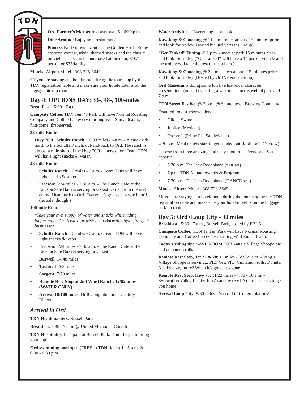

**Ord Farmer's Market** in downtown, 5 - 6:30 p.m.

**Dine Around**: Enjoy area restaurants!

Princess Bride movie event at The Golden Husk. Enjoy costume contest, trivia, themed snacks and the classic movie! Tickets can be purchased at the door, \$10/ person or \$35/family.

**Motels:** Airport Motel - 308-728-3649

\*If you are staying at a hotel/motel during the tour, stop by the TDN registration table and make sure your hotel/motel is on the luggage pickup route

## **Day 4: OPTIONS DAY: 33-, 48-, 100-miles**

**Breakfast** - 5:30 - 7 a.m.

**Campsite Coffee**: TDN Tent @ Park will have Normal Roasting Company and Coffee Lab every morning Wed-Sun at 6 a.m., first-come, first-served.

#### **33-mile Route**

• **Hwy 70/91 Schultz Ranch**: 16/33 miles - 6 a.m. - A quick ride north to the Schultz Ranch, out-and-back to Ord. The ranch is almost a mile short of the Hwy 70/91 intersection. Team TDN will have light snacks & water.

#### **48-mile Route**

- **Schultz Ranch**: 16 miles 6 a.m. Team TDN will have light snacks & water.
- **Ericson**: 8/24 miles 7:30 a.m. The Ranch Cafe at the Ericson Sale Barn is serving breakfast. Order from menu & enjoy! Head back to Ord. Everyone's gotta see a sale barn!!! (no sale, though.)

#### **100-mile Route**

*\*Take your own supply of water and snacks while riding longer miles. Grab extra provisions in Burwell, Taylor, Sargent businesses.*

- **Schultz Ranch**: 16 miles 6 a.m. Team TDN will have light snacks & water.
- **Ericson**: 8/24 miles 7:30 a.m. The Ranch Cafe at the Ericson Sale Barn is serving breakfast.
- **Burwell**: 14/48 miles
- **Taylor**: 15/63 miles
- **Sargent**: 7/70 miles
- **Remote Rest Stop at 2nd Wind Ranch: 12/82 miles (WATER ONLY)**
- **Arrival 18/100 miles**: Ord! Congratulations Century Riders!

# *Arrival in Ord*

**TDN Headquarters**: Bussell Park

**Breakfast**: 5:30 - 7 a.m. @ United Methodist Church

**TDN Hospitality** 1 - 4 p.m. at Bussell Park, Don't forget to bring your cup!

**Ord swimming pool** open (FREE to TDN riders) 1 - 5 p.m. & 6:30 - 8:30 p.m.

**Water Activities** - Everything is pre-sold.

**Kayaking & Canoeing** @ 11 a.m. - meet at park 15 minutes prior and look for trolley (Hosted by Ord Veterans Group)

**"Get Tanked" Tubing** @ 1 p.m. - meet at park 15 minutes prior and look for trolley ("Get Tanked" will have a 14 person vehicle and the trolley will take the rest of the tubers.)

**Kayaking & Canoeing** @ 2 p.m. - meet at park 15 minutes prior and look for trolley (Hosted by Ord Veterans Group)

**Ord Museum** is doing some fun live historical character presentations (or as they call it, a wax museum) as well. 4 p.m. and 7 p.m.

**TDN Street Festival** @ 5 p.m. @ Scratchtown Brewing Company

Featured food trucks/vendors:

- Gilded Swine
- Jubilee (Mexican)
- Todsen's (Prime Rib Sandwiches)

4:30 p.m. Meal tickets start to get handed out (look for TDN crew)

Choose from three amazing and tasty food trucks/vendors. Bon appetite.

- 5:30 p.m. The Jack Rodenband (first set)
- 7 p.m. TDN Annual Awards & Program
- 7:30 p.m. The Jack Rodenband (DANCE set!)

**Motels**: Airport Motel - 308-728-3649

\*If you are staying at a hotel/motel during the tour, stop by the TDN registration table and make sure your hotel/motel is on the luggage pick up route

# **Day 5: Ord>Loup City - 30 miles**

**Breakfast** - 5:30 - 7 a.m., Bussell Park, hosted by FBLA.

Campsite Coffee: TDN Tent @ Park will have Normal Roasting Company and Coffee Lab every morning Wed-Sun at 6 a.m.

**Today's riding tip**: SAVE ROOM FOR Vang's Village Shoppe pie and cinnamon rolls!

**Remote Rest Stop, Jct 22 & 70**: 11 miles - 6:30-9 a.m. - Vang's Village Shoppe is serving... PIE! Yes, PIE! Cinnamon rolls. Donuts. Need we say more? When it's gone, it's gone!

**Remote Rest Stop, Hwy 70**: 11/23 miles - 7:30 - 10 a.m. - Synovation Valley Leadership Academy (SVLA) hosts snacks to get you home.

**Arrival Loup City**: 8/30 miles - You did it! Congratulations!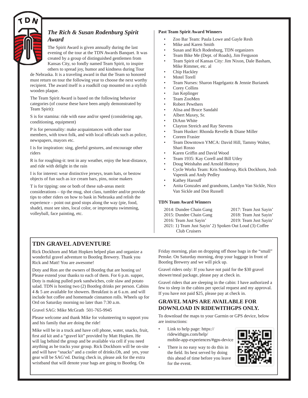

# *The Rich & Susan Rodenburg Spirit Award*

The Spirit Award is given annually during the last evening of the tour at the TDN Awards Banquet. It was created by a group of distinguished gentlemen from Kansas City, so fondly named Team Spirit, to inspire others to spread joy, humor and kindness during Tour

de Nebraska. It is a traveling award in that the Team so honored must return on tour the following year to choose the next worthy recipient. The award itself is a roadkill cup mounted on a stylish wooden plaque.

The Team Spirit Award is based on the following behavior categories (of course these have been amply demonstrated by Team Spirit):

S is for stamina: ride with ease and/or speed (considering age, conditioning, equipment)

P is for personality: make acquaintances with other tour members, with town folk, and with local officials such as police, newspapers, mayors etc.

I is for inspiration: sing, gleeful gestures, and encourage other riders

R is for roughing-it: tent in any weather, enjoy the heat-distance, and ride with delight in the rain

I is for interest: wear distinctive jerseys, team hats, or bestow objects of fun such as ice cream bars, pins, noise makers

T is for tipping: one or both of these sub-areas merit considerations – tip the mug, shot class, tumbler and/or provide tips to other riders on how to bask in Nebraska and relish the experience – point out good stops along the way (pie, food, shade), must see sites, local color, or impromptu swimming, volleyball, face painting, etc.

#### **Past Team Spirit Award Winners**

- Zoo Bar Team: Paula Lowe and Gayle Resh
- Mike and Karen Smith
- Susan and Rich Rodenburg, TDN organizers
- Team Bike Me (Dept. of Roads), Jim Ferguson
- Team Spirit of Kansas City: Jim Nixon, Dale Basham, Mike Rimmer, etc. al
- Chip Hackley
- Motel Torell
- Team Nurses: Sharon Hagelgantz & Jennie Burianek
- Corey Collins
- Jan Keplinger
- Team ZooMen
- Robert Pewthers
- Alisa and Bruce Sandahl
- Albert Maxey, Sr.
- DiAnn White
- Clayton Streich and Ray Stevens
- Team Husker: Rhonda Revelle & Diane Miller
- Coreen Frasier
- Team Downtown YMCA: David Hill, Tammy Walter, Shari Rosso
- Karen Griffin and David Wood
- Team 1935: Kay Corell and Bill Utley
- Doug Weishahn and Arnold Hottovy
- Cycle Works Team: Kris Sonderup, Rick Dockhorn, Josh Vapenik and Andy Pedley
- Kathey Harouff
- Anita Gonzales and grandsons, Landyn Van Sickle, Nico Van Sickle and Don Russell

#### **TDN Team Award Winners**

| 2014: Dundee Chain Gang                                 | 2017: Team Just Sayin' |
|---------------------------------------------------------|------------------------|
| 2015: Dundee Chain Gang                                 | 2018: Team Just Sayin' |
| 2016: Team Just Sayin'                                  | 2019: Team Just Sayin' |
| 2021: 1) Team Just Sayin' 2) Spoken Out Loud (3) Coffee |                        |
| Club Cruisers                                           |                        |

# **TDN GRAVEL ADVENTURE**

Rick Dockhorn and Matt Hopken helped plan and organize a wonderful gravel adventure to Bootleg Brewery. Thank you Rick and Matt! You are awesome!

Doty and Ron are the owners of Bootleg that are hosting us! Please extend your thanks to each of them. For 6 p.m. supper, Doty is making pulled pork sandwiches, cole slaw and potato salad. TDN is hosting two (2) Bootleg drinks per person. Cabins 4 & 5 are available for showers. Breakfast is at 6 a.m. and will include hot coffee and homemade cinnamon rolls. Wheels up for Ord on Saturday morning no later than 7:30 a.m.

Gravel SAG: Mike McGrath 501-765-9945

Please welcome and thank Mike for volunteering to support you and his family that are doing the ride!

Mike will be in a truck and have cell phone, water, snacks, fruit, first aid kit and a "gravel kit" provided by Matt Hopken. He will lag behind the group and be available via cell if you need anything as he tracks your group. Rick Dockhorn will be on-site and will have "snacks" and a cooler of drinks.Oh, and yes, your gear will be SAG'ed. During check in, please ask for the extra wristband that will denote your bags are going to Bootleg. On

Friday morning, plan on dropping off those bags in the "small" Penske. On Saturday morning, drop your luggage in front of Bootleg Brewery and we will pick up.

Gravel riders only: If you have not paid for the \$30 gravel shower/meal package, please pay at check in.

Gravel riders that are sleeping in the cabin: I have authorized a few to sleep in the cabins per special request and my approval. If you have not paid \$25, please pay at check in.

# **GRAVEL MAPS ARE AVAILABLE FOR DOWNLOAD IN RIDEWITHGPS ONLY.**

To download the maps to your Garmin or GPS device, below are instructions:

- Link to help page: https:// ridewithgps.com/help/ mobile-app-experiences/#gps-device
- There is no easy way to do this in the field. Its best served by doing this ahead of time before you leave for the event.

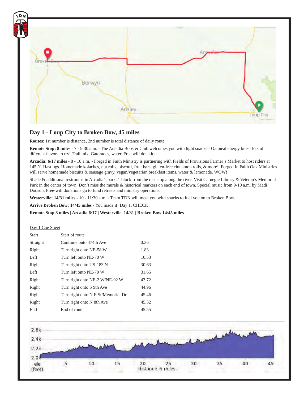

## **Day 1 - Loup City to Broken Bow, 45 miles**

**Routes**: 1st number is distance, 2nd number is total distance of daily route

**Remote Stop: 8 miles** - 7 - 9:30 a.m. - The Arcadia Booster Club welcomes you with light snacks - Oatmeal energy bites- lots of different flavors to try! Trail mix, Gatorades, water. Free will donation.

**Arcadia: 6/17 miles** - 8 - 10 a.m. - Forged in Faith Ministry is partnering with Fields of Provisions Farmer's Market to host riders at 145 N. Hastings. Homemade kolaches, nut rolls, biscotti, fruit bars, gluten-free cinnamon rolls, & more! Forged In Faith Oak Ministries will serve homemade biscuits & sausage gravy, vegan/vegetarian breakfast items, water & lemonade. WOW!

Shade & additional restrooms in Arcadia's park, 1 block from the rest stop along the river. Visit Carnegie Library & Veteran's Memorial Park in the center of town. Don't miss the murals & historical markers on each end of town. Special music from 9-10 a.m. by Madi Dodson. Free-will donations go to fund retreats and ministry operations.

**Westerville: 14/31 miles** - 10 - 11:30 a.m. - Team TDN will meet you with snacks to fuel you on to Broken Bow.

**Arrive Broken Bow: 14/45 miles** - You made it! Day 1, CHECK!

**Remote Stop 8 miles | Arcadia 6/17 | Westerville 14/31 | Broken Bow 14/45 miles**

#### Day 1 Cue Sheet

| <b>Start</b> | Start of route                     |       |
|--------------|------------------------------------|-------|
| Straight     | Continue onto 474th Ave            | 0.36  |
| Right        | Turn right onto NE-58 W            | 1.83  |
| Left         | Turn left onto NE-70 W             | 10.53 |
| Right        | Turn right onto US-183 N           | 30.63 |
| Left         | Turn left onto NE-70 W             | 31.65 |
| Right        | Turn right onto NE-2 W/NE-92 W     | 43.72 |
| Right        | Turn right onto S 9th Ave          | 44.96 |
| Right        | Turn right onto N E St/Memorial Dr | 45.46 |
| Right        | Turn right onto N 8th Ave          | 45.52 |
| End          | End of route                       | 45.55 |

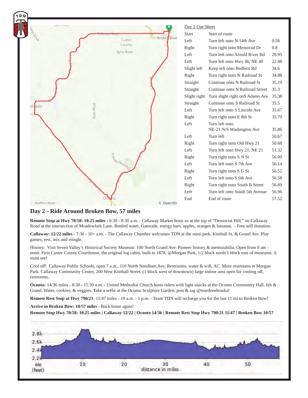

# **Day 2 - Ride Around Broken Bow, 57 miles**

**Remote Stop at Hwy 70/58: 10.25 miles** - 6:30 - 8:30 a.m. - Callaway Market hosts us at the top of "Democrat Hill," on Callaway Road at the intersection of Meadowlark Lane. Bottled water, Gatorade, energy bars, apples, oranges & bananas. – Free will donation.

**Callaway: 12/22 miles** - 7:30 - 10+ a.m. - The Callaway Chamber welcomes TDN at the mini-park, Kimball St. & Grand Ave. Play games, rest, mix and mingle.

History: Visit Seven Valley's Historical Society Museum: 100 North Grand Ave. Pioneer history & memorabilia. Open from 8 am noon. First Custer County Courthouse, the original log cabin, built in 1878, @Morgan Park, 1/2 block north/1 block east of museums. A must see!

Cool off! Callaway Public Schools, open 7 a.m., 110 North Needham Ave. Restrooms, water & wifi, AC. More restrooms at Morgan Park. Callaway Community Center, 200 West Kimball Street, (1 block west of downtown) large indoor area open for cooling off, restrooms.

**Oconto:** 14/36 miles - 8:30 - 11:30 a.m. - United Methodist Church hosts riders with light snacks at the Oconto Community Hall, 6th & Grand. Water, cookies, & veggies. Take a selfie at the Oconto Sculpture Garden, post & tag @tourdenebraska!

**Remote Rest Stop at Hwy 790/21**: 11/47 miles - 10 a.m. - 1 p.m. - Team TDN will recharge you for the last 11 mi.to Broken Bow!

**Arrive in Broken Bow: 10/57 miles** - Back home again!

**Remote Stop Hwy 70/58: 10.25 miles | Callaway 12/22 | Oconto 14/36 | Remote Rest Stop Hwy 790/21 11/47 | Broken Bow 10/57**

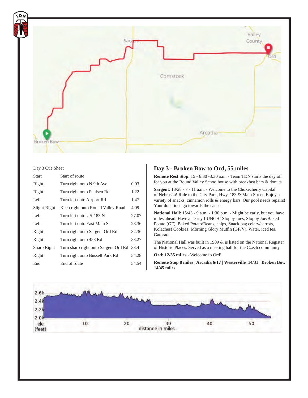

#### Day 3 Cue Sheet

| Start        | Start of route                       |       |
|--------------|--------------------------------------|-------|
| Right        | Turn right onto N 9th Ave            | 0.03  |
| Right        | Turn right onto Paulsen Rd           | 1.22  |
| Left         | Turn left onto Airport Rd            | 1.47  |
| Slight Right | Keep right onto Round Valley Road    | 4.09  |
| Left         | Turn left onto US-183 N              | 27.07 |
| Left         | Turn left onto East Main St          | 28.36 |
| Right        | Turn right onto Sargent Ord Rd       | 32.36 |
| Right        | Turn right onto 458 Rd               | 33.27 |
| Sharp Right  | Turn sharp right onto Sargent Ord Rd | 33.4  |
| Right        | Turn right onto Bussell Park Rd      | 54.28 |
| End          | End of route                         | 54.54 |

#### **Day 3 - Broken Bow to Ord, 55 miles**

**Remote Rest Stop**: 15 - 6:30 -8:30 a.m. - Team TDN starts the day off for you at the Round Valley Schoolhouse with breakfast bars & donuts.

**Sargent**: 13/28 - 7 - 11 a.m. - Welcome to the Chokecherry Capital of Nebraska! Ride to the City Park, Hwy. 183 & Main Street. Enjoy a variety of snacks, cinnamon rolls & energy bars. Our pool needs repairs! Your donations go towards the cause.

**National Hall**: 15/43 - 9 a.m. - 1:30 p.m. - Might be early, but you have miles ahead. Have an early LUNCH! Sloppy Joes, Sloppy Joe/Baked Potato (GF), Baked Potato/Beans, chips, Snack bag celery/carrots, Kolaches! Cookies! Morning Glory Muffin (GF/V). Water, iced tea, Gatorade.

The National Hall was built in 1909 & is listed on the National Register of Historic Places. Served as a meeting hall for the Czech community.

**Ord: 12/55 miles** - Welcome to Ord!

**Remote Stop 8 miles | Arcadia 6/17 | Westerville 14/31 | Broken Bow 14/45 miles**

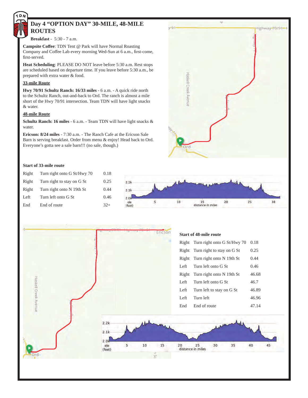

# **Day 4 "OPTION DAY" 30-MILE, 48-MILE ROUTES**

**Breakfast** - 5:30 - 7 a.m.

**Campsite Coffee: TDN Tent @ Park will have Normal Roasting** Company and Coffee Lab every morning Wed-Sun at 6 a.m., first-come, first-served.

**Heat Scheduling**: PLEASE DO NOT leave before 5:30 a.m. Rest stops are scheduled based on departure time. If you leave before 5:30 a.m., be prepared with extra water & food.

#### **33-mile Route**

**Hwy 70/91 Schultz Ranch: 16/33 miles** - 6 a.m. - A quick ride north to the Schultz Ranch, out-and-back to Ord. The ranch is almost a mile short of the Hwy 70/91 intersection. Team TDN will have light snacks & water.

#### **48-mile Route**

**Schultz Ranch: 16 miles** - 6 a.m. - Team TDN will have light snacks & water.

**Ericson: 8/24 miles** - 7:30 a.m. - The Ranch Cafe at the Ericson Sale Barn is serving breakfast. Order from menu & enjoy! Head back to Ord. Everyone's gotta see a sale barn!!! (no sale, though.)

#### **Start of 33-mile route**

| Right | Turn right onto G St/Hwy 70 | 0.18  |               |                  |                   |    |    |    |
|-------|-----------------------------|-------|---------------|------------------|-------------------|----|----|----|
| Right | Turn right to stay on G St  | 0.25  | 2.2k          |                  | my min            |    |    |    |
| Right | Turn right onto N 19th St   | 0.44  | 2.1k          |                  |                   |    |    |    |
| Left  | Turn left onto G St         | 0.46  | 2.0k          |                  |                   |    |    |    |
| End   | End of route                | $32+$ | ele<br>(feet) | 10 <sub>10</sub> | distance in miles | 20 | 25 | 30 |

 $v = 1$ 

Haskell Creek Avenu

Ord

lighway=70/91

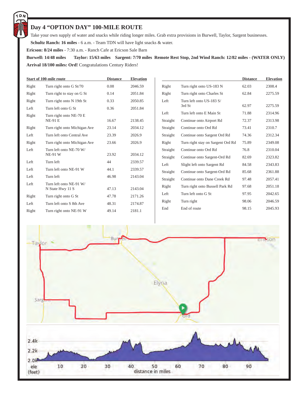# $D$

# **Day 4 "OPTION DAY" 100-MILE ROUTE**

Take your own supply of water and snacks while riding longer miles. Grab extra provisions in Burwell, Taylor, Sargent businesses.

**Schultz Ranch: 16 miles** - 6 a.m. - Team TDN will have light snacks & water.

**Ericson: 8/24 miles** - 7:30 a.m. - Ranch Cafe at Ericson Sale Barn

**Burwell: 14/48 miles Taylor: 15/63 miles Sargent: 7/70 miles Remote Rest Stop, 2nd Wind Ranch: 12/82 miles - (WATER ONLY) Arrival 18/100 miles: Ord!** Congratulations Century Riders!

|       | <b>Start of 100-mile route</b>              | <b>Distance</b> | <b>Elevation</b> |  |
|-------|---------------------------------------------|-----------------|------------------|--|
| Right | Turn right onto G St/70                     | 0.08            | 2046.59          |  |
| Right | Turn right to stay on G St                  | 0.14            | 2051.84          |  |
| Right | Turn right onto N 19th St                   | 0.33            | 2050.85          |  |
| Left  | Turn left onto G St.                        | 0.36            | 2051.84          |  |
| Right | Turn right onto NE-70 E<br><b>NE-91 E</b>   | 16.67           | 2138.45          |  |
| Right | Turn right onto Michigan Ave                | 23.14           | 2034.12          |  |
| Left  | Turn left onto Central Ave                  | 23.39           | 2026.9           |  |
| Right | Turn right onto Michigan Ave                | 23.66           | 2026.9           |  |
| Left  | Turn left onto NE-70 W/<br><b>NE-91 W</b>   | 23.92           | 2034.12          |  |
| Left  | Turn left                                   | 44              | 2339.57          |  |
| Left  | Turn left onto NE-91 W                      | 44.1            | 2339.57          |  |
| Left  | Turn left                                   | 46.98           | 2143.04          |  |
| Left  | Turn left onto NE-91 W/<br>N State Hwy 11 S | 47.13           | 2143.04          |  |
| Right | Turn right onto G St                        | 47.78           | 2171.26          |  |
| Left  | Turn left onto S 8th Ave                    | 48.31           | 2174.87          |  |
| Right | Turn right onto NE-91 W                     | 49.14           | 2181.1           |  |

|          |                                    | <b>Distance</b> | <b>Elevation</b> |
|----------|------------------------------------|-----------------|------------------|
| Right    | Turn right onto US-183 N           | 62.03           | 2308.4           |
| Right    | Turn right onto Charles St         | 62.84           | 2275.59          |
| Left     | Turn left onto US-183 S/<br>3rd St | 62.97           | 2275.59          |
| Left     | Turn left onto E Main St.          | 71.88           | 2314.96          |
| Straight | Continue onto Airport Rd           | 72.37           | 2313.98          |
| Straight | Continue onto Ord Rd               | 73.41           | 2310.7           |
| Straight | Continue onto Sargent Ord Rd       | 74.36           | 2312.34          |
| Right    | Turn right stay on Sargent Ord Rd  | 75.89           | 2349.08          |
| Straight | Continue onto Ord Rd               | 76.8            | 2310.04          |
| Straight | Continue onto Sargent-Ord Rd       | 82.69           | 2323.82          |
| Left     | Slight left onto Sargent Rd        | 84.58           | 2343.83          |
| Straight | Continue onto Sargent-Ord Rd       | 85.68           | 2361.88          |
| Straight | Continue onto Dane Creek Rd        | 97.48           | 2057.41          |
| Right    | Turn right onto Bussell Park Rd    | 97.68           | 2051.18          |
| Left     | Turn left onto G St.               | 97.95           | 2042.65          |
| Right    | Turn right                         | 98.06           | 2046.59          |
| End      | End of route                       | 98.15           | 2045.93          |